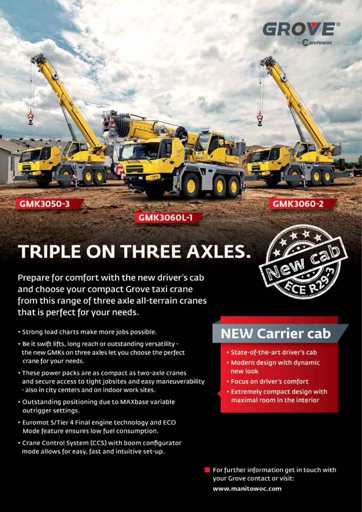

GMK3050-3

GMK3060L-1

## **TRIPLE ON THREE AXLES.**

Prepare for comfort with the new driver's cab and choose your compact Grove taxi crane from this range of three axle all-terrain cranes that is perfect for your needs.

- · Strong load charts make more jobs possible.
- . Be it swift lifts, long reach or outstanding versatility the new GMKs on three axles let you choose the perfect crane for your needs.
- . These power packs are as compact as two-axle cranes and secure access to tight jobsites and easy maneuverability - also in city centers and on indoor work sites.
- · Outstanding positioning due to MAXbase variable outrigger settings.
- . Euromot 5/Tier 4 Final engine technology and ECO Mode feature ensures low fuel consumption.
- Crane Control System (CCS) with boom configurator mode allows for easy, fast and intuitive set-up.



GMK3060-2

### **NEW Carrier cab**

- · State-of-the-art driver's cab
- Modern design with dynamic new look
- Focus on driver's comfort
- **\* Extremely compact design with** maximal room in the interior

 $\blacksquare$  For further information get in touch with your Grove contact or visit: www.manitowoc.com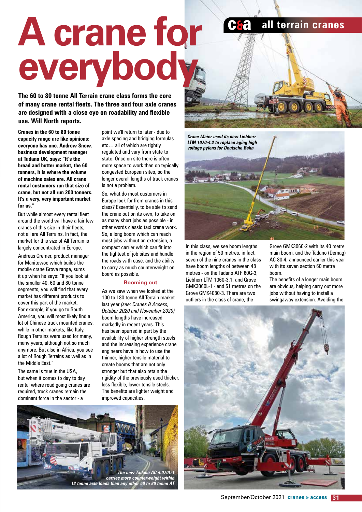# **A crane for everybody a** all terrain cranes

**The 60 to 80 tonne All Terrain crane class forms the core of many crane rental fleets. The three and four axle cranes are designed with a close eye on roadability and flexible use. Will North reports.**

**Cranes in the 60 to 80 tonne capacity range are like opinions: everyone has one. Andrew Snow, business development manager at Tadano UK, says: "It's the bread and butter market, the 60 tonners, it is where the volume of machine sales are. All crane rental customers run that size of crane, but not all run 200 tonners. It's a very, very important market for us."**

But while almost every rental fleet around the world will have a fair few cranes of this size in their fleets, not all are All Terrains. In fact, the market for this size of All Terrain is largely concentrated in Europe.

Andreas Cremer, product manager for Manitowoc which builds the mobile crane Grove range, sums it up when he says: "If you look at the smaller 40, 60 and 80 tonne segments, you will find that every market has different products to cover this part of the market. For example, if you go to South America, you will most likely find a lot of Chinese truck mounted cranes, while in other markets, like Italy, Rough Terrains were used for many, many years, although not so much anymore. But also in Africa, you see a lot of Rough Terrains as well as in the Middle East."

The same is true in the USA, but when it comes to day to day rental where road going cranes are required, truck cranes remain the dominant force in the sector - a

point we'll return to later - due to axle spacing and bridging formulas etc… all of which are tightly regulated and vary from state to state. Once on site there is often more space to work than on typically congested European sites, so the longer overall lengths of truck cranes is not a problem.

So, what do most customers in Europe look for from cranes in this class? Essentially, to be able to send the crane out on its own, to take on as many short jobs as possible - in other words classic taxi crane work. So, a long boom which can reach most jobs without an extension, a compact carrier which can fit into the tightest of job sites and handle the roads with ease, and the ability to carry as much counterweight on board as possible.

#### **Booming out**

As we saw when we looked at the 100 to 180 tonne All Terrain market last year *(see: Cranes & Access, October 2020 and November 2020)* boom lengths have increased markedly in recent years. This has been spurred in part by the availability of higher strength steels and the increasing experience crane engineers have in how to use the thinner, higher tensile material to create booms that are not only stronger but that also retain the rigidity of the previously used thicker, less flexible, lower tensile steels. The benefits are lighter weight and improved capacities.



*Crane Maier used its new Liebherr LTM 1070-4.2 to replace aging high voltage pylons for Deutsche Bahn*

In this class, we see boom lengths in the region of 50 metres, in fact, seven of the nine cranes in the class have boom lengths of between 48 metres - on the Tadano ATF 60G-3, Liebherr LTM 1060-3.1, and Grove GMK3060L-1 - and 51 metres on the Grove GMK4080-3. There are two outliers in the class of crane, the

Grove GMK3060-2 with its 40 metre main boom, and the Tadano (Demag) AC 80-4, announced earlier this year with its seven section 60 metre boom.

The benefits of a longer main boom are obvious, helping carry out more jobs without having to install a swingaway extension. Avoiding the

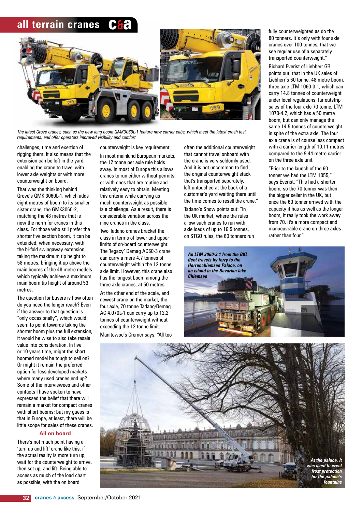#### **all terrain cranes**



*The latest Grove cranes, such as the new long boom GMK3060L-1 feature new carrier cabs, which meet the latest crash test requirements, and offer operators improved visibility and comfort*

challenges, time and exertion of rigging them. It also means that the extension can be left in the yard, enabling the crane to travel with lower axle weights or with more counterweight on board.

That was the thinking behind Grove's GMK 3060L-1, which adds eight metres of boom to its smaller sister crane, the GMK3060-2, matching the 48 metres that is now the norm for cranes in this class. For those who still prefer the shorter five section boom, it can be extended, when necessary, with the bi-fold swingaway extension, taking the maximum tip height to 58 metres, bringing it up above the main booms of the 48 metre models which typically achieve a maximum main boom tip height of around 53 metres.

The question for buyers is how often do you need the longer reach? Even if the answer to that question is "only occasionally", which would seem to point towards taking the shorter boom plus the full extension, it would be wise to also take resale value into consideration. In five or 10 years time, might the short boomed model be tough to sell on? Or might it remain the preferred option for less developed markets where many used cranes end up? Some of the interviewees and other contacts I have spoken to have expressed the belief that there will remain a market for compact cranes with short booms; but my guess is that in Europe, at least, there will be little scope for sales of these cranes.

#### **All on board**

There's not much point having a 'turn up and lift' crane like this, if the actual reality is more turn up, wait for the counterweight to arrive, then set up, and lift. Being able to access as much of the load chart as possible, with the on board

counterweight is key requirement. In most mainland European markets, the 12 tonne per axle rule holds sway. In most of Europe this allows cranes to run either without permits, or with ones that are routine and relatively easy to obtain. Meeting this criteria while carrying as much counterweight as possible is a challenge. As a result, there is considerable variation across the nine cranes in the class.

Two Tadano cranes bracket the class in terms of lower and upper limits of on-board counterweight. The 'legacy' Demag AC60-3 crane can carry a mere 4.7 tonnes of counterweight within the 12 tonne axle limit. However, this crane also has the longest boom among the three axle cranes, at 50 metres.

At the other end of the scale, and newest crane on the market, the four axle, 70 tonne Tadano/Demag AC 4.070L-1 can carry up to 12.2 tonnes of counterweight without exceeding the 12 tonne limit.

Manitowoc's Cremer says: "All too

often the additional counterweight that cannot travel onboard with the crane is very seldomly used. And it is not uncommon to find the original counterweight stack that's transported separately, left untouched at the back of a customer's yard waiting there until the time comes to resell the crane." Tadano's Snow points out: "In the UK market, where the rules allow such cranes to run with axle loads of up to 16.5 tonnes, on STGO rules, the 60 tonners run

fully counterweighted as do the 80 tonners. It's only with four axle cranes over 100 tonnes, that we see regular use of a separately transported counterweight."

Richard Everist of Liebherr GB points out that in the UK sales of Liebherr's 60 tonne, 48 metre boom, three axle LTM 1060-3.1, which can carry 14.8 tonnes of counterweight under local regulations, far outstrip sales of the four axle 70 tonne, LTM 1070-4.2, which has a 50 metre boom, but can only manage the same 14.5 tonnes of counterweight in spite of the extra axle. The four axle crane is of course less compact with a carrier length of 10.11 metres compared to the 9.44 metre carrier on the three axle unit.

"Prior to the launch of the 60 tonner we had the LTM 1055," says Everist. "This had a shorter boom, so the 70 tonner was then the bigger seller in the UK, but once the 60 tonner arrived with the capacity it has as well as the longer boom, it really took the work away from 70. It's a more compact and manoeuvrable crane on three axles rather than four."



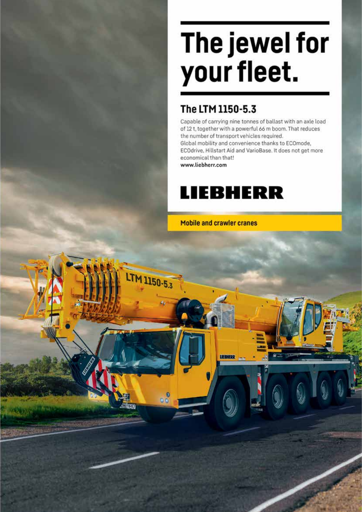# The jewel for your fleet.

#### The LTM 1150-5.3

Capable of carrying nine tonnes of ballast with an axle load of 12 t, together with a powerful 66 m boom. That reduces the number of transport vehicles required. Global mobility and convenience thanks to ECOmode, ECOdrive, Hillstart Aid and VarioBase. It does not get more economical than that! www.liebherr.com

LTM 1150-5.3

## **LIEBHERR**

**Mobile and crawler cranes** 

LIEBHERR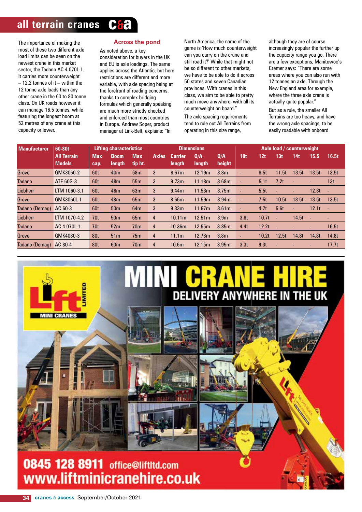#### **all terrain cranes Ca**

The importance of making the most of these two different axle load limits can be seen on the newest crane in this market sector, the Tadano AC 4.070L-1. It carries more counterweight – 12.2 tonnes of it – within the 12 tonne axle loads than any other crane in the 60 to 80 tonne class. On UK roads however it can manage 16.5 tonnes, while featuring the longest boom at 52 metres of any crane at this capacity or lower.

**INI CRANES** 

#### **Across the pond**

#### As noted above, a key

consideration for buyers in the UK and EU is axle loadings. The same applies across the Atlantic, but here restrictions are different and more variable, with axle spacing being at the forefront of roading concerns, thanks to complex bridging formulas which generally speaking are much more strictly checked and enforced than most countries in Europe. Andrew Soper, product manager at Link-Belt, explains: "In

North America, the name of the game is 'How much counterweight can you carry on the crane and still road it?' While that might not be so different to other markets, we have to be able to do it across 50 states and seven Canadian provinces. With cranes in this class, we aim to be able to pretty much move anywhere, with all its counterweight on board."

The axle spacing requirements tend to rule out All Terrains from operating in this size range,

although they are of course increasingly popular the further up the capacity range you go. There are a few exceptions, Manitowoc's Cremer says: "There are some areas where you can also run with 12 tonnes an axle. Through the New England area for example, where the three axle crane is actually quite popular."

But as a rule, the smaller All Terrains are too heavy, and have the wrong axle spacings, to be easily roadable with onboard

| <b>Manufacturer</b> | <b>Lifting characteristics</b><br>60-80t |                 |                 | <b>Dimensions</b> |              |                   |        | Axle load / counterweight |                  |       |        |       |       |            |
|---------------------|------------------------------------------|-----------------|-----------------|-------------------|--------------|-------------------|--------|---------------------------|------------------|-------|--------|-------|-------|------------|
|                     | <b>All Terrain</b>                       | <b>Max</b>      | <b>Boom</b>     | <b>Max</b>        | <b>Axles</b> | <b>Carrier</b>    | 0/A    | 0/A                       | 10 <sub>t</sub>  | 12t   | 13t    | 14t   | 15.5  | 16.5t      |
|                     | <b>Models</b>                            | cap.            | length          | tip ht.           |              | length            | length | height                    |                  |       |        |       |       |            |
| Grove               | GMK3060-2                                | 60t             | 40 <sub>m</sub> | 58 <sub>m</sub>   | 3            | 8.67m             | 12.19m | 3.8 <sub>m</sub>          |                  | 8.5t  | 11.5t  | 13.5t | 13.5t | 13.5t      |
| <b>Tadano</b>       | ATF 60G-3                                | 60t             | 48 <sub>m</sub> | 55 <sub>m</sub>   | 3            | 9.73m             | 11.18m | 3.68 <sub>m</sub>         | ٠                | 5.1t  | 7.2t   | ٠     |       | 13t        |
| Liebherr            | LTM 1060-3.1                             | 60t             | 48 <sub>m</sub> | 63m               | 3            | 9.44m             | 11.53m | 3.75m                     |                  | 5.5t  |        | ٠     | 12.8t | ٠          |
| Grove               | GMK3060L-1                               | 60t             | 48 <sub>m</sub> | 65m               | 3            | 8.66m             | 11.59m | 3.94m                     |                  | 7.5t  | 10.5t  | 13.5t | 13.5t | 13.5t      |
| Tadano (Demag)      | AC 60-3                                  | 60t             | 50 <sub>m</sub> | 64 <sub>m</sub>   | 3            | 9.33 <sub>m</sub> | 11.67m | 3.61 <sub>m</sub>         |                  | 4.7t  | 5.6t   | ٠     | 12.1t | $\sim 100$ |
| Liebherr            | LTM 1070-4.2                             | 70 <sub>t</sub> | 50 <sub>m</sub> | 65 <sub>m</sub>   | 4            | 10.11m            | 12.51m | 3.9 <sub>m</sub>          | 3.8 <sub>t</sub> | 10.7t | $\sim$ | 14.5t | ٠     |            |
| <b>Tadano</b>       | AC 4.070L-1                              | 70t             | 52 <sub>m</sub> | 70 <sub>m</sub>   | 4            | 10.36m            | 12.55m | 3.85m                     | 4.4t             | 12.2t | ٠      |       | ٠     | 16.5t      |
| Grove               | GMK4080-3                                | 80t             | 51 <sub>m</sub> | 75m               | 4            | 11.1m             | 12.78m | 3.8 <sub>m</sub>          |                  | 10.2t | 12.5t  | 14.8t | 14.8t | 14.8t      |
| Tadano (Demag)      | AC 80-4                                  | 80t             | 60 <sub>m</sub> | 70 <sub>m</sub>   | 4            | 10.6 <sub>m</sub> | 12.15m | 3.95m                     | 3.3t             | 9.3t  |        |       |       | 17.7t      |

# **DELIVERY ANYWHERE IN THE UK**

0845 128 8911 office@liftltd.com www.liftminicranehire.co.uk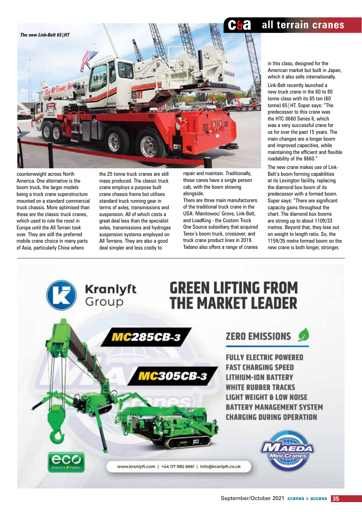

counterweight across North America. One alternative is the boom truck, the larger models being a truck crane superstructure mounted on a standard commercial truck chassis. More optimised than these are the classic truck cranes, which used to rule the roost in Europe until the All Terrain took over. They are still the preferred mobile crane choice in many parts of Asia, particularly China where

the 25 tonne truck cranes are still mass produced. The classic truck crane employs a purpose built crane chassis frame but utilises standard truck running gear in terms of axles, transmissions and suspension. All of which costs a great deal less than the specialist axles, transmissions and hydrogas suspension systems employed on All Terrains. They are also a good deal simpler and less costly to

repair and maintain. Traditionally, these canes have a single person cab, with the boom stowing alongside.

There are three main manufacturers of the traditional truck crane in the USA: Manitowoc/ Grove, Link-Belt, and LoadKing - the Custom Truck One Source subsidiary that acquired Terex's boom truck, crossover, and truck crane product lines in 2019. Tadano also offers a range of cranes

**a** all terrain cranes

in this class, designed for the American market but built in Japan, which it also sells internationally. Link-Belt recently launched a new truck crane in the 60 to 80 tonne class with its 65 ton (60 tonne) 65|HT. Soper says: "The predecessor to this crane was the HTC 8660 Series II, which was a very successful crane for us for over the past 15 years. The main changes are a longer boom and improved capacities, while maintaining the efficient and flexible roadability of the 8660."

The new crane makes use of Link-Belt's boom forming capabilities at its Lexington facility, replacing the diamond box boom of its predecessor with a formed boom. Soper says: "There are significant capacity gains throughout the chart. The diamond box booms are strong up to about 110ft/33 metres. Beyond that, they lose out on weight to length ratio. So, the 115ft/35 metre formed boom on the new crane is both longer, stronger,

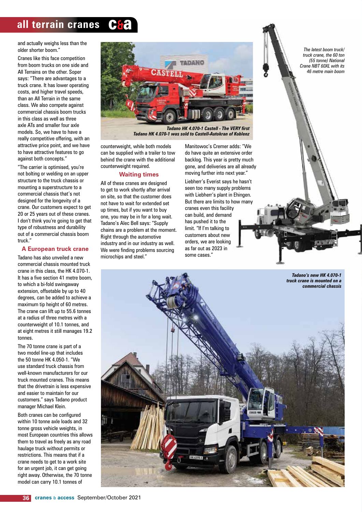#### **all terrain cranes Ca**

and actually weighs less than the older shorter boom."

Cranes like this face competition from boom trucks on one side and All Terrains on the other. Soper says: "There are advantages to a truck crane. It has lower operating costs, and higher travel speeds, than an All Terrain in the same class. We also compete against commercial chassis boom trucks in this class as well as three axle ATs and smaller four axle models. So, we have to have a really competitive offering, with an attractive price point, and we have to have attractive features to go against both concepts."

"The carrier is optimised, you're not bolting or welding on an upper structure to the truck chassis or mounting a superstructure to a commercial chassis that's not designed for the longevity of a crane. Our customers expect to get 20 or 25 years out of these cranes. I don't think you're going to get that type of robustness and durability out of a commercial chassis boom truck."

#### **A European truck crane**

Tadano has also unveiled a new commercial chassis mounted truck crane in this class, the HK 4.070-1. It has a five section 41 metre boom, to which a bi-fold swingaway extension, offsetable by up to 40 degrees, can be added to achieve a maximum tip height of 60 metres. The crane can lift up to 55.6 tonnes at a radius of three metres with a counterweight of 10.1 tonnes, and at eight metres it still manages 19.2 tonnes.

The 70 tonne crane is part of a two model line-up that includes the 50 tonne HK 4.050-1. "We use standard truck chassis from well-known manufacturers for our truck mounted cranes. This means that the drivetrain is less expensive and easier to maintain for our customers." says Tadano product manager Michael Klein.

Both cranes can be configured within 10 tonne axle loads and 32 tonne gross vehicle weights, in most European countries this allows them to travel as freely as any road haulage truck without permits or restrictions. This means that if a crane needs to get to a work site for an urgent job, it can get going right away. Otherwise, the 70 tonne model can carry 10.1 tonnes of



*Tadano HK 4.070-1 was sold to Castell-Autokran of Koblenz*

counterweight, while both models can be supplied with a trailer to tow behind the crane with the additional counterweight required.

#### **Waiting times**

All of these cranes are designed to get to work shortly after arrival on site, so that the customer does not have to wait for extended set up times, but if you want to buy one, you may be in for a long wait. Tadano's Alec Bell says: "Supply chains are a problem at the moment. Right through the automotive industry and in our industry as well. We were finding problems sourcing microchips and steel."

Manitowoc's Cremer adds: "We do have quite an extensive order backlog. This year is pretty much gone, and deliveries are all already moving further into next year."

Liebherr's Everist says he hasn't seen too many supply problems with Liebherr's plant in Ehingen. But there are limits to how many cranes even this facility can build, and demand has pushed it to the limit. "If I'm talking to customers about new orders, we are looking as far out as 2023 in some cases."

*The latest boom truck/ truck crane, the 60 ton (55 tonne) National Crane NBT 60XL with its 46 metre main boom*

*Tadano's new HK 4.070-1* 

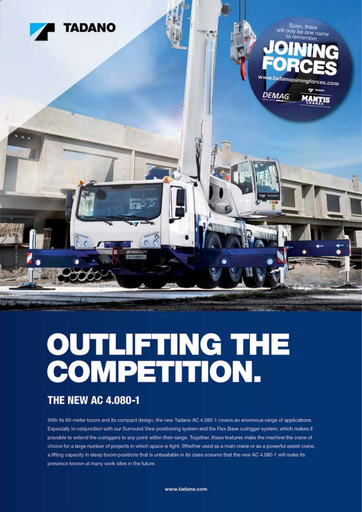

# **OUTLIFTING THE<br>COMPETITION.**

#### **THE NEW AC 4.080-1**

With its 60-meter boom and its compact design, the new Tadano AC 4.080-1 covers an enormous range of applications. Especially in conjunction with our Surround View positioning system and the Flex Base outrigger system, which makes it possible to extend the outriggers to any point within their range. Together, these features make the machine the crane of choice for a large number of projects in which space is tight. Whether used as a main crane or as a powerful assist crane, a lifting capacity in steep boom positions that is unbeatable in its class ensures that the new AC 4.080-1 will make its presence known at many work sites in the future.

www.tadano.com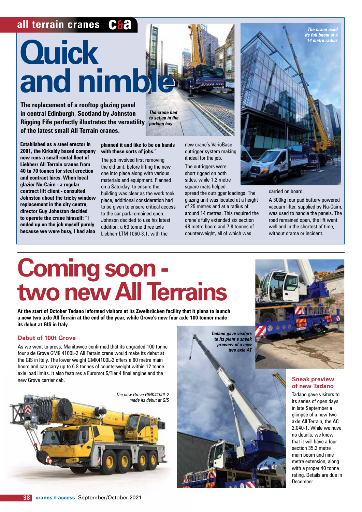#### **all terrain cranes C&a**

# **Ouick D Example 20 and nimble and nimble**

**The replacement of a rooftop glazing panel in central Edinburgh, Scotland by Johnston Rigging Fife perfectly illustrates the versatility of the latest small All Terrain cranes.**

**Established as a steel erector in 2001, the Kirkaldy based company now runs a small rental fleet of Liebherr All Terrain cranes from 40 to 70 tonnes for steel erection and contract hires. When local glazier Nu-Cairn - a regular contract lift client - consulted Johnston about the tricky window replacement in the city centre, director Guy Johnston decided to operate the crane himself: "I ended up on the job myself purely because we were busy, I had also** 

*The crane had to set up in the parking bay*

**planned it and like to be on hands** 

new crane's VarioBase outrigger system making it ideal for the job. The outriggers were

short rigged on both sides, while 1.2 metre square mats helped

spread the outrigger loadings. The glazing unit was located at a height of 25 metres and at a radius of around 14 metres. This required the crane's fully extended six section 48 metre boom and 7.8 tonnes of counterweight, all of which was



carried on board.

A 300kg four pad battery powered vacuum lifter, supplied by Nu-Cairn, was used to handle the panels. The road remained open, the lift went well and in the shortest of time, without drama or incident.

# **Coming soon two new All Terrains**

**with these sorts of jobs."** The job involved first removing the old unit, before lifting the new one into place along with various materials and equipment. Planned on a Saturday, to ensure the building was clear as the work took place, additional consideration had to be given to ensure critical access to the car park remained open. Johnson decided to use his latest addition, a 60 tonne three axle Liebherr LTM 1060-3.1, with the

**At the start of October Tadano informed visitors at its Zweibrücken facility that it plans to launch a new two axle All Terrain at the end of the year, while Grove's new four axle 100 tonner made its debut at GIS in Italy.** 

#### **Debut of 100t Grove**

As we went to press, Manitowoc confirmed that its upgraded 100 tonne four axle Grove GMK 4100L-2 All Terrain crane would make its debut at the GIS in Italy. The lower weight GMK4100L-2 offers a 60 metre main boom and can carry up to 6.8 tonnes of counterweight within 12 tonne axle load limits. It also features a Euromot 5/Tier 4 final engine and the new Grove carrier cab.



*Tadano gave visitors to its plant a sneak preview of a new two axle AT*



#### **Sneak preview of new Tadano**

Tadano gave visitors to its series of open days in late September a glimpse of a new two axle All Terrain, the AC 2.040-1. While we have no details, we know that it will have a four section 35.2 metre main boom and nine metre extension, along with a proper 40 tonne rating. Details are due in December.